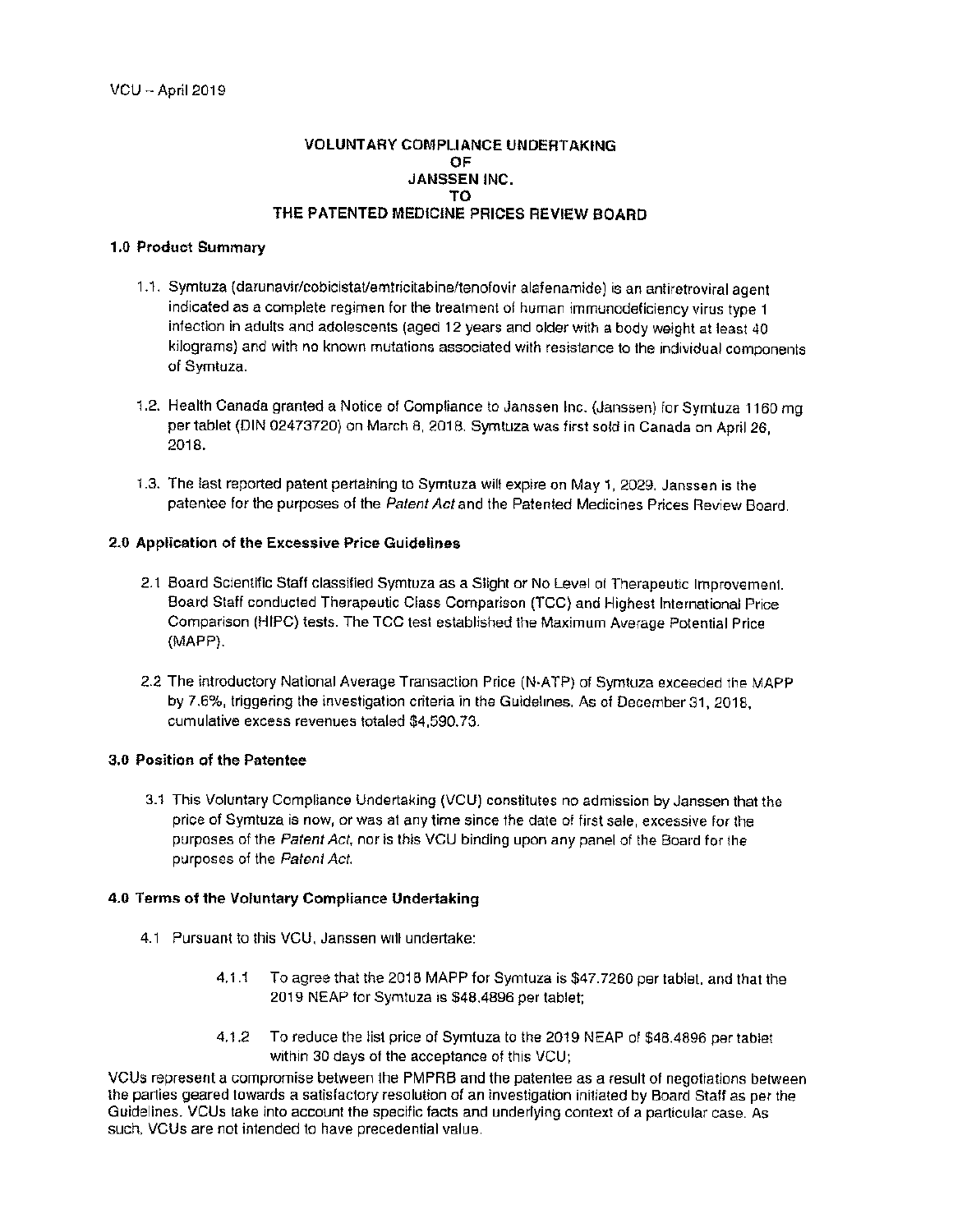### **VOLUNTARY COMPLIANCE UNDERTAKING** OE **JANSSEN INC.** TΩ. THE PATENTED MEDICINE PRICES REVIEW BOARD

### 1.0 Product Summarv

- 1.1. Symtuza (darunavir/cobicistat/emtricitabine/tenofovir alafenamide) is an antiretroviral agent indicated as a complete regimen for the treatment of human immunodeficiency virus type 1 infection in adults and adolescents (aged 12 years and older with a body weight at least 40 kilograms) and with no known mutations associated with resistance to the individual components of Symtuza.
- 1.2. Health Canada granted a Notice of Compliance to Janssen Inc. (Janssen) for Symtuza 1160 mg per tablet (DIN 02473720) on March 8, 2018. Symtuza was first sold in Canada on April 26, 2018.
- 1.3. The last reported patent pertaining to Symtuza will expire on May 1, 2029. Janssen is the patentee for the purposes of the Patent Act and the Patented Medicines Prices Review Board.

# 2.0 Application of the Excessive Price Guidelines

- 2.1 Board Scientific Staff classified Symtuza as a Slight or No Level of Therapeutic Improvement. Board Staff conducted Therapeutic Class Comparison (TCC) and Highest International Price Comparison (HIPC) tests. The TCC test established the Maximum Average Potential Price (MAPP).
- 2.2 The introductory National Average Transaction Price (N-ATP) of Symtuza exceeded the MAPP by 7.6%, triggering the investigation criteria in the Guidelines. As of December 31, 2018. cumulative excess revenues totaled \$4,590.73.

# 3.0 Position of the Patentee

3.1 This Voluntary Compliance Undertaking (VCU) constitutes no admission by Janssen that the price of Symtuza is now, or was at any time since the date of first sale, excessive for the purposes of the Patent Act, nor is this VCU binding upon any panel of the Board for the purposes of the Patent Act.

# 4.0 Terms of the Voluntary Compliance Undertaking

- 4.1 Pursuant to this VCU, Janssen will undertake:
	- $4.1.1$ To agree that the 2018 MAPP for Symtuza is \$47.7260 per tablet, and that the 2019 NEAP for Symtuza is \$48,4896 per tablet;
	- $4.1.2$ To reduce the list price of Symtuza to the 2019 NEAP of \$48.4896 per tablet within 30 days of the acceptance of this VCU:

VCUs represent a compromise between the PMPRB and the patentee as a result of negotiations between the parties geared towards a satisfactory resolution of an investigation initiated by Board Staff as per the Guidelines. VCUs take into account the specific facts and underlying context of a particular case. As such, VCUs are not intended to have precedential value.